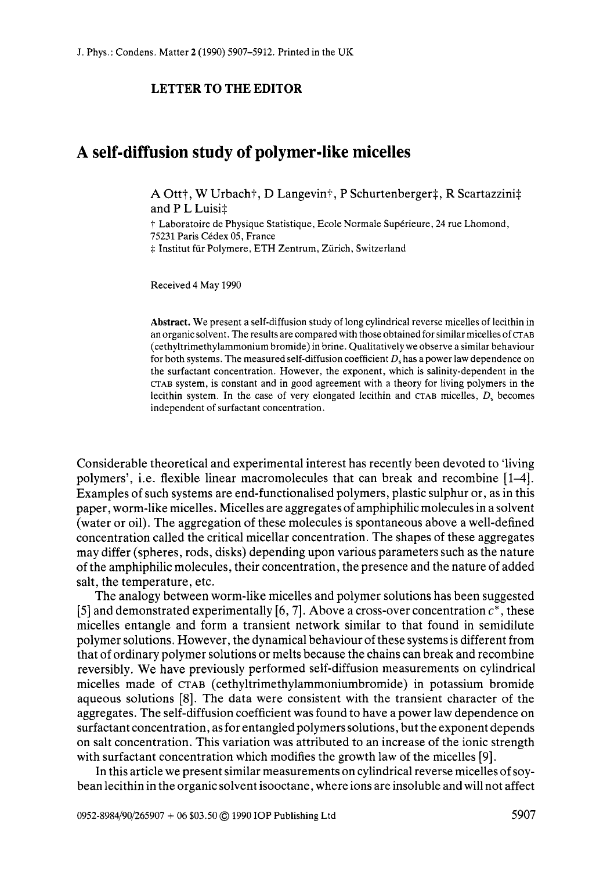## **LETTER TO THE EDITOR**

## **A self-diffusion study of polymer-like micelles**

A Ott<sup>†</sup>, W Urbach†, D Langevin†, P Schurtenberger‡, R Scartazzini‡ and P L Luisi $\pm$ 

† Laboratoire de Physique Statistique, Ecole Normale Supérieure, 24 rue Lhomond, 75231 Paris Cedex 05, France  $#$  Institut für Polymere, ETH Zentrum, Zürich, Switzerland

Received 4 May 1990

**Abstract.** We present a self-diffusion study of long cylindrical reverse micelles of lecithin in an organic solvent. The results are compared with those obtained for similar micelles of CTAB (cethyltrimethylammonium bromide) in brine. Qualitatively we observe a similar behaviour for both systems. The measured self-diffusion coefficient *D,* has a power law dependence on the surfactant concentration. However, the exponent, which **is** salinity-dependent in the **CTAB** system, is constant and in good agreement with a theory for living polymers in the lecithin system. **In** the case of very elongated lecithin and **CTAB** micelles, *D,* becomes independent of surfactant concentration.

Considerable theoretical and experimental interest has recently been devoted to 'living polymers', i.e. flexible linear macromolecules that can break and recombine [14. Examples of such systems are end-functionalised polymers, plastic sulphur or, as in this paper, worm-like micelles. Micelles are aggregates of amphiphilic molecules in a solvent (water or oil). The aggregation of these molecules is spontaneous above a well-defined concentration called the critical micellar concentration. The shapes of these aggregates may differ (spheres, rods, disks) depending upon various parameters such as the nature of the amphiphilic molecules, their concentration, the presence and the nature of added salt, the temperature, etc.

The analogy between worm-like micelles and polymer solutions has been suggested *[5]* and demonstrated experimentally [6,7]. Above a cross-over concentration *c\*,* these micelles entangle and form a transient network similar to that found in semidilute polymer solutions. However, the dynamical behaviour of these systems is different from that of ordinary polymer solutions or melts because the chains can break and recombine reversibly. We have previously performed self-diffusion measurements on cylindrical micelles made of CTAB **(cethyltrimethylammoniumbromide)** in potassium bromide aqueous solutions [8]. The data were consistent with the transient character of the aggregates. The self-diffusion coefficient was found to have a power law dependence on surfactant concentration, as for entangled polymers solutions, but the exponent depends on salt concentration. This variation was attributed to an increase of the ionic strength with surfactant concentration which modifies the growth law of the micelles [9].

In this article we present similar measurements on cylindrical reverse micelles of soybean lecithin in the organic solvent isooctane, where ions are insoluble and will not affect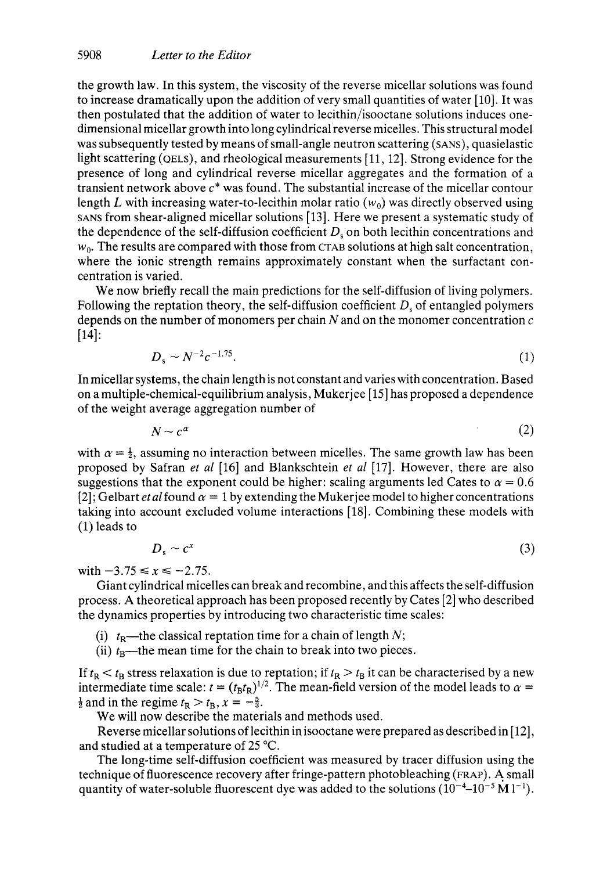the growth law. In this system, the viscosity of the reverse micellar solutions was found to increase dramatically upon the addition of very small quantities of water [lo]. It was then postulated that the addition of water to lecithin/isooctane solutions induces onedimensional micellar growth into long cylindrical reverse micelles. This structural model was subsequently tested by means of small-angle neutron scattering **(SANS),** quasielastic light scattering (QELS), and rheological measurements [ll, 121. Strong evidence for the presence of long and cylindrical reverse micellar aggregates and the formation of a transient network above *c\** was found. The substantial increase of the micellar contour length L with increasing water-to-lecithin molar ratio  $(w_0)$  was directly observed using **SANS** from shear-aligned micellar solutions [13]. Here we present a systematic study of the dependence of the self-diffusion coefficient  $D<sub>s</sub>$  on both lecithin concentrations and *wo.* The results are compared with those from **CTAB** solutions at high salt concentration, where the ionic strength remains approximately constant when the surfactant concentration is varied.

We now briefly recall the main predictions for the self-diffusion of living polymers. Following the reptation theory, the self-diffusion coefficient  $D<sub>s</sub>$  of entangled polymers depends on the number of monomers per chain  $N$  and on the monomer concentration  $c$ [14]:

$$
D_s \sim N^{-2}c^{-1.75}.
$$
 (1)

In micellar systems, the chain length is not constant and varies with concentration. Based on a multiple-chemical-equilibrium analysis, Mukerjee [ 151 has proposed a dependence of the weight average aggregation number of

$$
N \sim c^{\alpha} \tag{2}
$$

with  $\alpha = \frac{1}{2}$ , assuming no interaction between micelles. The same growth law has been proposed by Safran et *a1* [16] and Blankschtein et *a1* [17]. However, there are also suggestions that the exponent could be higher: scaling arguments led Cates to  $\alpha = 0.6$ [2]; Gelbart *et al* found  $\alpha = 1$  by extending the Mukerjee model to higher concentrations taking into account excluded volume interactions [ 181. Combining these models with (1) leads to

$$
D_s \sim c^x \tag{3}
$$

with  $-3.75 \le x \le -2.75$ .

Giant cylindrical micelles can break and recombine, and this affects the self-diffusion process. **A** theoretical approach has been proposed recently by Cates [2] who described the dynamics properties by introducing two characteristic time scales:

- (i)  $t_R$ —the classical reptation time for a chain of length *N*;
- (ii)  $t_B$ —the mean time for the chain to break into two pieces.

If  $t_R < t_B$  stress relaxation is due to reptation; if  $t_R > t_B$  it can be characterised by a new intermediate time scale:  $t = (t_B t_R)^{1/2}$ . The mean-field version of the model leads to  $\alpha =$  $\frac{1}{2}$  and in the regime  $t_R > t_B$ ,  $x = -\frac{5}{3}$ .

We will now describe the materials and methods used.

Reverse micellar solutions of lecithin in isooctane were prepared as described in [ 121, and studied at a temperature of 25 "C.

The long-time self-diffusion coefficient was measured by tracer diffusion using the technique of fluorescence recovery after fringe-pattern photobleaching (FRAP). A small quantity of water-soluble fluorescent dye was added to the solutions  $(10^{-4} - 10^{-5} \text{ M } l^{-1})$ .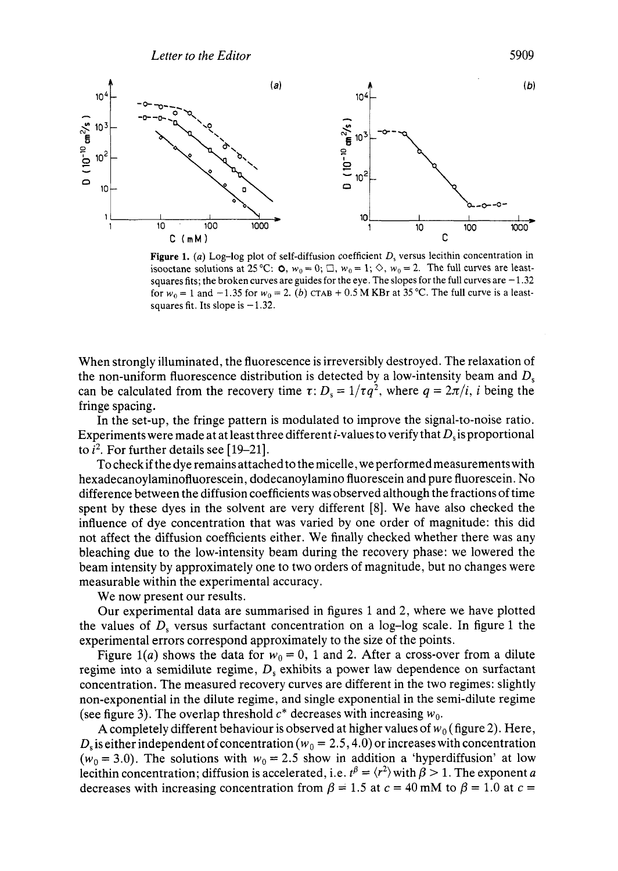

**Figure 1.** (a) Log-log plot of self-diffusion coefficient  $D<sub>s</sub>$  versus lecithin concentration in isooctane solutions at 25 °C:  $\phi$ ,  $w_0 = 0$ ;  $\Box$ ,  $w_0 = 1$ ;  $\Diamond$ ,  $w_0 = 2$ . The full curves are leastsquares fits; the broken curves are guides for the eye. The slopes for the full curves are  $-1.32$ for  $w_0 = 1$  and  $-1.35$  for  $w_0 = 2$ . *(b)* CTAB + 0.5 M KBr at 35 °C. The full curve is a leastsquares fit. Its slope is  $-1.32$ .

When strongly illuminated, the fluorescence is irreversibly destroyed. The relaxation of the non-uniform fluorescence distribution is detected by a low-intensity beam and  $D_s$ can be calculated from the recovery time  $\tau$ :  $D_s = 1/\tau q^2$ , where  $q = 2\pi/i$ , *i* being the fringe spacing.

In the set-up, the fringe pattern is modulated to improve the signal-to-noise ratio. Experiments were made at at least three different i-values to verify that *D,* is proportional to  $i^2$ . For further details see [19-21].

To checkif the dye remains attached to the micelle, we performed measurements with hexadecanoylaminofluorescein, dodecanoylamino fluorescein and pure fluorescein. No difference between the diffusion coefficients was observed although the fractions of time spent by these dyes in the solvent are very different [8]. We have also checked the influence of dye concentration that was varied by one order of magnitude: this did not affect the diffusion coefficients either. We finally checked whether there was any bleaching due to the low-intensity beam during the recovery phase: we lowered the beam intensity by approximately one to two orders of magnitude, but no changes were measurable within the experimental accuracy.

We now present our results.

Our experimental data are summarised in figures 1 and 2, where we have plotted the values of *D,* versus surfactant concentration on a log-log scale. In figure 1 the experimental errors correspond approximately to the size of the points.

Figure 1(a) shows the data for  $w_0 = 0$ , 1 and 2. After a cross-over from a dilute regime into a semidilute regime, *D,* exhibits a power law dependence on surfactant concentration. The measured recovery curves are different in the two regimes: slightly non-exponential in the dilute regime, and single exponential in the semi-dilute regime (see figure 3). The overlap threshold  $c^*$  decreases with increasing  $w_0$ .

A completely different behaviour is observed at higher values of  $w_0$  (figure 2). Here,  $D<sub>s</sub>$  is either independent of concentration  $(w<sub>0</sub> = 2.5, 4.0)$  or increases with concentration  $(w_0 = 3.0)$ . The solutions with  $w_0 = 2.5$  show in addition a 'hyperdiffusion' at low lecithin concentration; diffusion is accelerated, i.e.  $t^{\beta} = \langle r^2 \rangle$  with  $\beta > 1$ . The exponent *a* decreases with increasing concentration from  $\beta = 1.5$  at  $c = 40$  mM to  $\beta = 1.0$  at  $c =$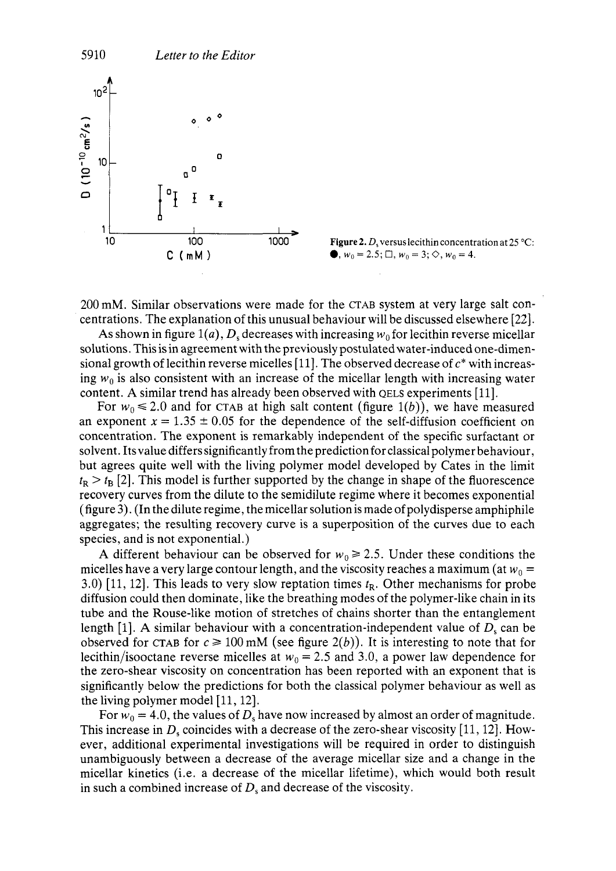



200 mM. Similar observations were made for the CTAB system at very large salt concentrations. The explanation of this unusual behaviour will be discussed elsewhere [22].

As shown in figure 1(a),  $D_s$  decreases with increasing  $w_0$  for lecithin reverse micellar solutions. This is in agreement with the previously postulated water-induced one-dimensional growth of lecithin reverse micelles [ 111. The observed decrease of *c\** with increasing  $w_0$  is also consistent with an increase of the micellar length with increasing water content. **A** similar trend has already been observed with QELS experiments [ll].

For  $w_0 \le 2.0$  and for CTAB at high salt content (figure 1(b)), we have measured an exponent  $x = 1.35 \pm 0.05$  for the dependence of the self-diffusion coefficient on concentration. The exponent is remarkably independent of the specific surfactant or solvent. Itsvalue differs significantly from the prediction for classical polymer behaviour, but agrees quite well with the living polymer model developed by Cates in the limit  $t<sub>R</sub> > t<sub>B</sub>$  [2]. This model is further supported by the change in shape of the fluorescence recovery curves from the dilute to the semidilute regime where it becomes exponential (figure 3). (In the dilute regime, the micellar solution is made of polydisperse amphiphile aggregates; the resulting recovery curve is a superposition of the curves due to each species, and is not exponential.)

A different behaviour can be observed for  $w_0 \ge 2.5$ . Under these conditions the micelles have a very large contour length, and the viscosity reaches a maximum (at  $w_0 =$ 3.0) [ll, 121. This leads to very slow reptation times *tR.* Other mechanisms for probe diffusion could then dominate, like the breathing modes of the polymer-like chain in its tube and the Rouse-like motion of stretches of chains shorter than the entanglement length  $[1]$ . A similar behaviour with a concentration-independent value of  $D<sub>s</sub>$  can be observed for CTAB for  $c \ge 100$  mM (see figure 2(b)). It is interesting to note that for lecithin/isooctane reverse micelles at  $w_0 = 2.5$  and 3.0, a power law dependence for the zero-shear viscosity on concentration has been reported with an exponent that is significantly below the predictions for both the classical polymer behaviour as well as the living polymer model  $[11, 12]$ .

For  $w_0 = 4.0$ , the values of  $D_s$  have now increased by almost an order of magnitude. This increase in  $D_s$  coincides with a decrease of the zero-shear viscosity [11, 12]. However, additional experimental investigations will be required in order to distinguish unambiguously between a decrease of the average micellar size and a change in the micellar kinetics (i.e. a decrease of the micellar lifetime), which would both result in such a combined increase of  $D_s$  and decrease of the viscosity.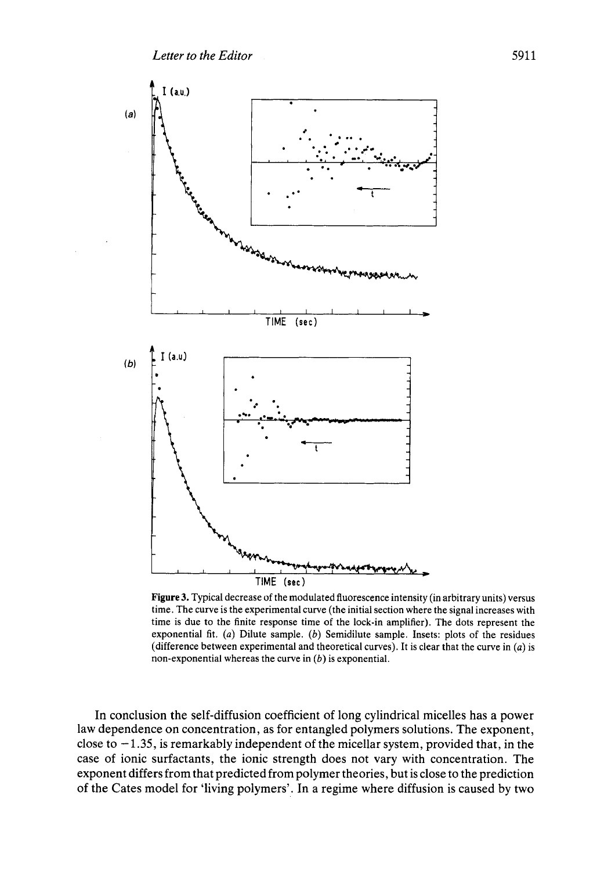

**Figure 3.** Typical decrease of the modulated fluorescence intensity (in arbitrary units) versus time. The curve is the experimental curve (the initial section where the signal increases with time is due to the finite response time of the lock-in amplifier). The dots represent the exponential fit. *(a)* Dilute sample. *(b)* Semidilute sample. Insets: plots of the residues (difference between experimental and theoretical curves). It is clear that the curve in *(a)* is non-exponential whereas the curve **in** *(b)* is exponential.

In conclusion the self-diffusion coefficient of long cylindrical micelles has a power law dependence on concentration, as for entangled polymers solutions. The exponent, close to  $-1.35$ , is remarkably independent of the micellar system, provided that, in the case of ionic surfactants, the ionic strength does not vary with concentration. The exponent differs from that predicted from polymer theories, but is close to the prediction of the Cates model for 'living polymers'. In a regime where diffusion is caused by two